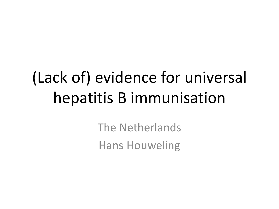# (Lack of) evidence for universal hepatitis B immunisation

The Netherlands Hans Houweling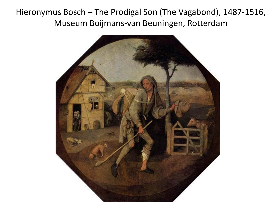Hieronymus Bosch – The Prodigal Son (The Vagabond), 1487-1516, Museum Boijmans-van Beuningen, Rotterdam

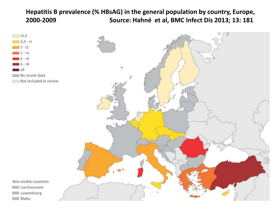#### **Hepatitis B prevalence (% HBsAG) in the general population by country, Europe, 2000-2009 Source: Hahné et al, BMC Infect Dis 2013; 13: 181**





Non-visible countries Liechtenstein Luxembourg

Malta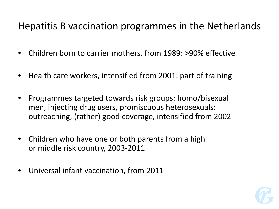#### Hepatitis B vaccination programmes in the Netherlands

- Children born to carrier mothers, from 1989: >90% effective
- Health care workers, intensified from 2001: part of training
- Programmes targeted towards risk groups: homo/bisexual men, injecting drug users, promiscuous heterosexuals: outreaching, (rather) good coverage, intensified from 2002
- Children who have one or both parents from a high or middle risk country, 2003-2011
- Universal infant vaccination, from 2011

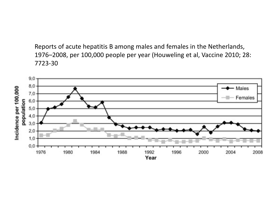Reports of acute hepatitis B among males and females in the Netherlands, 1976–2008, per 100,000 people per year (Houweling et al, Vaccine 2010; 28: 7723-30

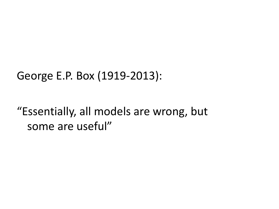#### George E.P. Box (1919-2013):

## "Essentially, all models are wrong, but some are useful"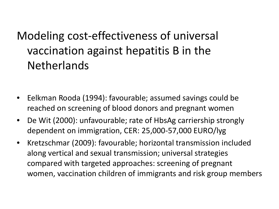# Modeling cost-effectiveness of universal vaccination against hepatitis B in the **Netherlands**

- Eelkman Rooda (1994): favourable; assumed savings could be reached on screening of blood donors and pregnant women
- De Wit (2000): unfavourable; rate of HbsAg carriership strongly dependent on immigration, CER: 25,000-57,000 EURO/lyg
- Kretzschmar (2009): favourable; horizontal transmission included along vertical and sexual transmission; universal strategies compared with targeted approaches: screening of pregnant women, vaccination children of immigrants and risk group members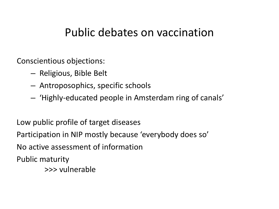#### Public debates on vaccination

Conscientious objections:

- Religious, Bible Belt
- Antroposophics, specific schools
- 'Highly-educated people in Amsterdam ring of canals'

Low public profile of target diseases Participation in NIP mostly because 'everybody does so' No active assessment of information Public maturity >>> vulnerable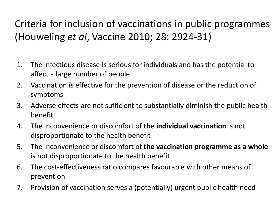#### Criteria for inclusion of vaccinations in public programmes (Houweling *et al*, Vaccine 2010; 28: 2924-31)

- 1. The infectious disease is serious for individuals and has the potential to affect a large number of people
- 2. Vaccination is effective for the prevention of disease or the reduction of symptoms
- 3. Adverse effects are not sufficient to substantially diminish the public health benefit
- 4. The inconvenience or discomfort of **the individual vaccination** is not disproportionate to the health benefit
- 5. The inconvenience or discomfort of **the vaccination programme as a whole** is not disproportionate to the health benefit
- 6. The cost-effectiveness ratio compares favourable with other means of prevention
- 7. Provision of vaccination serves a (potentially) urgent public health need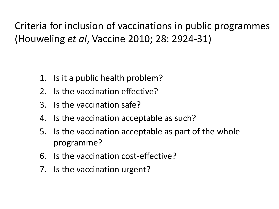Criteria for inclusion of vaccinations in public programmes (Houweling *et al*, Vaccine 2010; 28: 2924-31)

- 1. Is it a public health problem?
- 2. Is the vaccination effective?
- 3. Is the vaccination safe?
- 4. Is the vaccination acceptable as such?
- 5. Is the vaccination acceptable as part of the whole programme?
- 6. Is the vaccination cost-effective?
- 7. Is the vaccination urgent?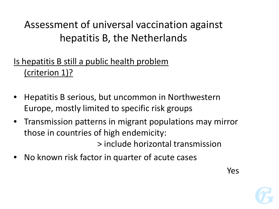#### Is hepatitis B still a public health problem (criterion 1)?

- Hepatitis B serious, but uncommon in Northwestern Europe, mostly limited to specific risk groups
- Transmission patterns in migrant populations may mirror those in countries of high endemicity: > include horizontal transmission
- No known risk factor in quarter of acute cases

Yes

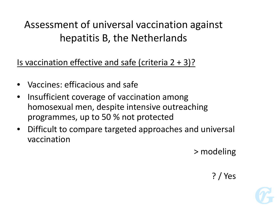Is vaccination effective and safe (criteria  $2 + 3$ )?

- Vaccines: efficacious and safe
- Insufficient coverage of vaccination among homosexual men, despite intensive outreaching programmes, up to 50 % not protected
- Difficult to compare targeted approaches and universal vaccination

> modeling

#### ? / Yes

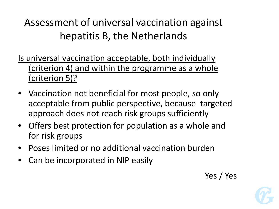Is universal vaccination acceptable, both individually (criterion 4) and within the programme as a whole (criterion 5)?

- Vaccination not beneficial for most people, so only acceptable from public perspective, because targeted approach does not reach risk groups sufficiently
- Offers best protection for population as a whole and for risk groups
- Poses limited or no additional vaccination burden
- Can be incorporated in NIP easily

Yes / Yes

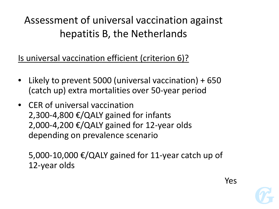Is universal vaccination efficient (criterion 6)?

- Likely to prevent 5000 (universal vaccination) + 650 (catch up) extra mortalities over 50-year period
- CER of universal vaccination 2,300-4,800  $€/QALY$  gained for infants 2,000-4,200  $€/QALY$  gained for 12-year olds depending on prevalence scenario

5,000-10,000  $€/QALY$  gained for 11-year catch up of 12-year olds

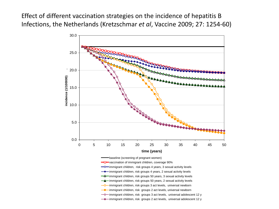Effect of different vaccination strategies on the incidence of hepatitis B Infections, the Netherlands (Kretzschmar *et al*, Vaccine 2009; 27: 1254-60)

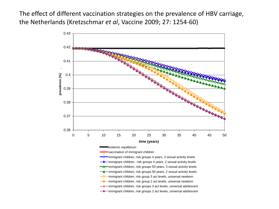The effect of different vaccination strategies on the prevalence of HBV carriage, the Netherlands (Kretzschmar *et al*, Vaccine 2009; 27: 1254-60)

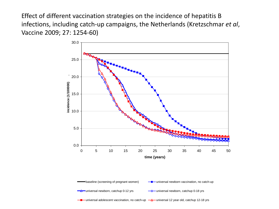Effect of different vaccination strategies on the incidence of hepatitis B infections, including catch-up campaigns, the Netherlands (Kretzschmar *et al*, Vaccine 2009; 27: 1254-60)

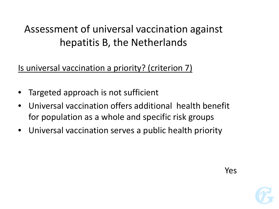Is universal vaccination a priority? (criterion 7)

- Targeted approach is not sufficient
- Universal vaccination offers additional health benefit for population as a whole and specific risk groups
- Universal vaccination serves a public health priority